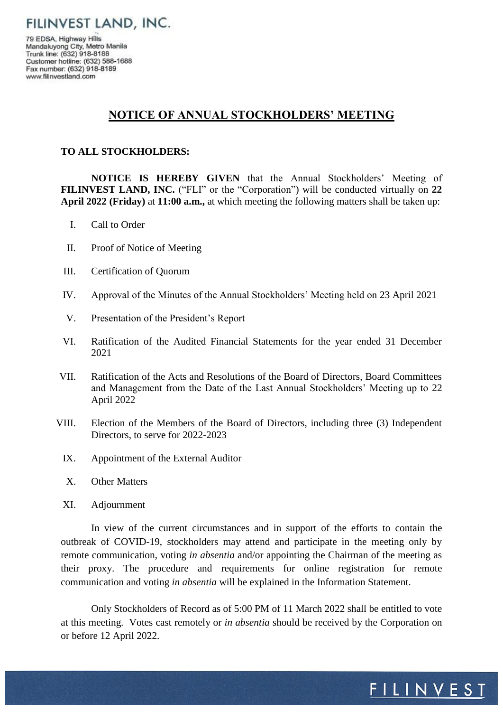FILINVEST LAND, INC.

79 EDSA, Highway Hills Mandaluyong City, Metro Manila Trunk line: (632) 918-8188 Customer hotline: (632) 588-1688 Fax number: (632) 918-8189 www.filinvestland.com

## **NOTICE OF ANNUAL STOCKHOLDERS' MEETING**

## **TO ALL STOCKHOLDERS:**

**NOTICE IS HEREBY GIVEN** that the Annual Stockholders' Meeting of **FILINVEST LAND, INC.** ("FLI" or the "Corporation") will be conducted virtually on **22 April 2022 (Friday)** at **11:00 a.m.,** at which meeting the following matters shall be taken up:

- I. Call to Order
- II. Proof of Notice of Meeting
- III. Certification of Quorum
- IV. Approval of the Minutes of the Annual Stockholders' Meeting held on 23 April 2021
- V. Presentation of the President's Report
- VI. Ratification of the Audited Financial Statements for the year ended 31 December 2021
- VII. Ratification of the Acts and Resolutions of the Board of Directors, Board Committees and Management from the Date of the Last Annual Stockholders' Meeting up to 22 April 2022
- VIII. Election of the Members of the Board of Directors, including three (3) Independent Directors, to serve for 2022-2023
	- IX. Appointment of the External Auditor
	- X. Other Matters
	- XI. Adjournment

In view of the current circumstances and in support of the efforts to contain the outbreak of COVID-19, stockholders may attend and participate in the meeting only by remote communication, voting *in absentia* and/or appointing the Chairman of the meeting as their proxy. The procedure and requirements for online registration for remote communication and voting *in absentia* will be explained in the Information Statement.

Only Stockholders of Record as of 5:00 PM of 11 March 2022 shall be entitled to vote at this meeting. Votes cast remotely or *in absentia* should be received by the Corporation on or before 12 April 2022.

## FILINVEST